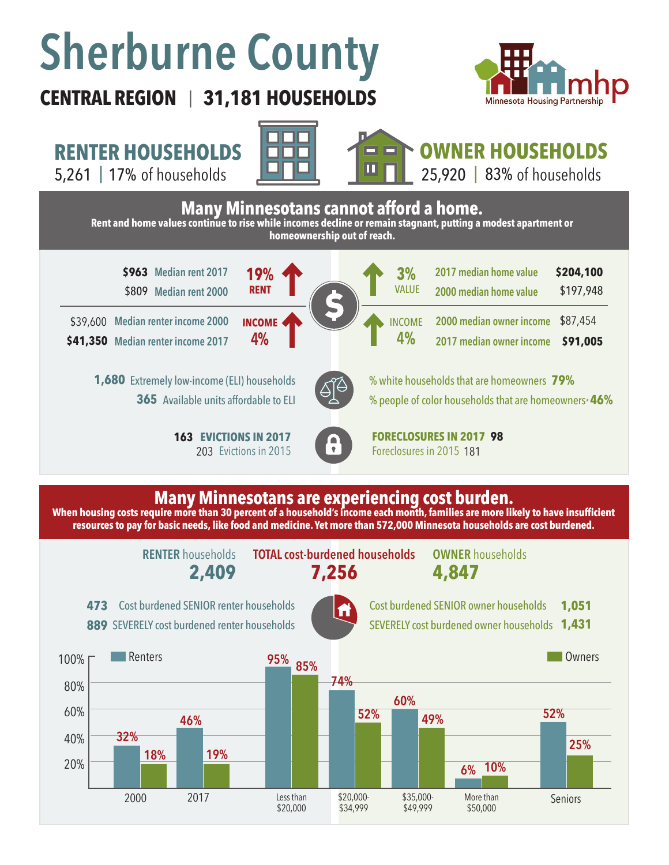# **Sherburne County**

## **CENTRAL REGION 31,181 HOUSEHOLDS**  |



**RENTER HOUSEHOLDS**



# **OWNER HOUSEHOLDS**



#### **Many Minnesotans are experiencing cost burden.**

When housing costs require more than 30 percent of a household's income each month, families are more likely to have insufficient **resources to pay for basic needs, like food and medicine. Yet more than 572,000 Minnesota households are cost burdened.**